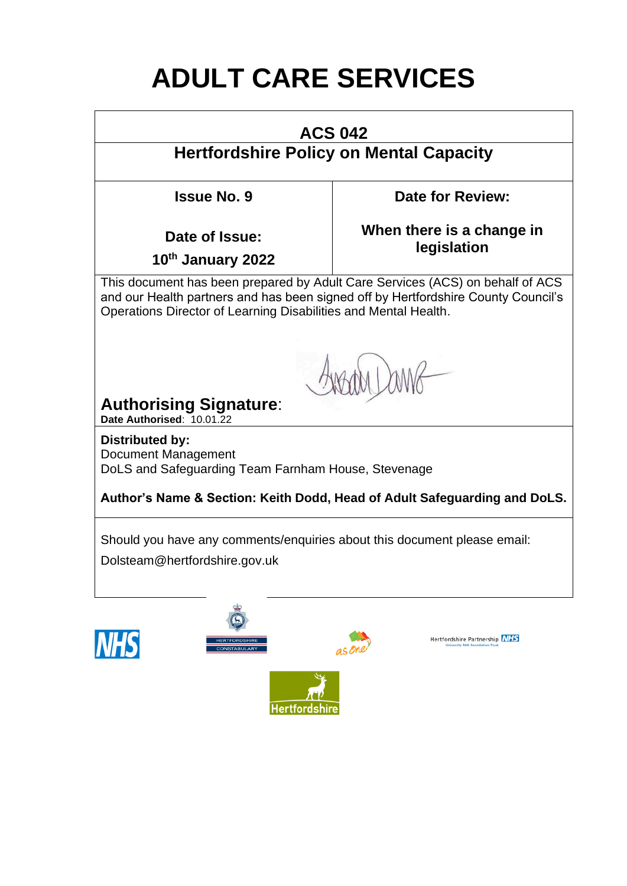# **ADULT CARE SERVICES**

# **ACS 042**

# **Hertfordshire Policy on Mental Capacity**

**Issue No. 9**

**Date for Review:**

**Date of Issue:** 

**When there is a change in legislation**

**10th January 2022**

This document has been prepared by Adult Care Services (ACS) on behalf of ACS and our Health partners and has been signed off by Hertfordshire County Council's Operations Director of Learning Disabilities and Mental Health.

# **Authorising Signature**:

**Date Authorised**: 10.01.22

**Distributed by:** Document Management DoLS and Safeguarding Team Farnham House, Stevenage

# **Author's Name & Section: Keith Dodd, Head of Adult Safeguarding and DoLS.**

Should you have any comments/enquiries about this document please email:

Dolsteam@hertfordshire.gov.uk







Hertfordshire Partnership NHS

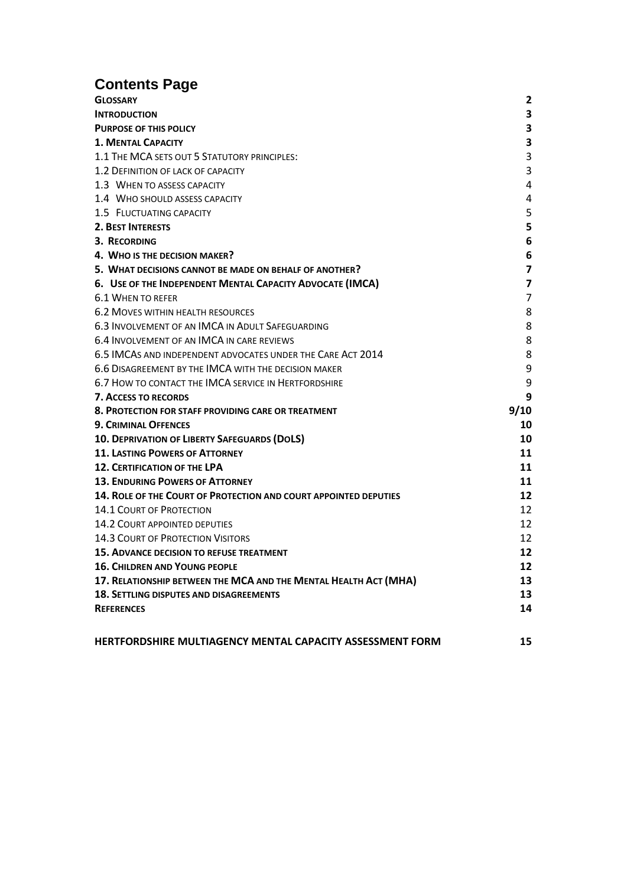# **Contents Page**

| <b>GLOSSARY</b>                                                         | $\mathbf{2}$            |
|-------------------------------------------------------------------------|-------------------------|
| <b>INTRODUCTION</b>                                                     | 3                       |
| <b>PURPOSE OF THIS POLICY</b>                                           | 3                       |
| <b>1. MENTAL CAPACITY</b>                                               | 3                       |
| 1.1 THE MCA SETS OUT 5 STATUTORY PRINCIPLES:                            | 3                       |
| 1.2 DEFINITION OF LACK OF CAPACITY                                      | 3                       |
| 1.3 WHEN TO ASSESS CAPACITY                                             | 4                       |
| 1.4 WHO SHOULD ASSESS CAPACITY                                          | 4                       |
| 1.5 FLUCTUATING CAPACITY                                                | 5                       |
| <b>2. BEST INTERESTS</b>                                                | 5                       |
| 3. RECORDING                                                            | 6                       |
| 4. WHO IS THE DECISION MAKER?                                           | 6                       |
| 5. WHAT DECISIONS CANNOT BE MADE ON BEHALF OF ANOTHER?                  | 7                       |
| 6. USE OF THE INDEPENDENT MENTAL CAPACITY ADVOCATE (IMCA)               | $\overline{\mathbf{z}}$ |
| 6.1 WHEN TO REFER                                                       | 7                       |
| <b>6.2 MOVES WITHIN HEALTH RESOURCES</b>                                | 8                       |
| 6.3 INVOLVEMENT OF AN IMCA IN ADULT SAFEGUARDING                        | 8                       |
| 6.4 INVOLVEMENT OF AN IMCA IN CARE REVIEWS                              | 8                       |
| 6.5 IMCAS AND INDEPENDENT ADVOCATES UNDER THE CARE ACT 2014             | 8                       |
| 6.6 DISAGREEMENT BY THE IMCA WITH THE DECISION MAKER                    | 9                       |
| 6.7 HOW TO CONTACT THE IMCA SERVICE IN HERTFORDSHIRE                    | 9                       |
| <b>7. ACCESS TO RECORDS</b>                                             | 9                       |
| 8. PROTECTION FOR STAFF PROVIDING CARE OR TREATMENT                     | 9/10                    |
| <b>9. CRIMINAL OFFENCES</b>                                             | 10                      |
| 10. DEPRIVATION OF LIBERTY SAFEGUARDS (DOLS)                            | 10                      |
| <b>11. LASTING POWERS OF ATTORNEY</b>                                   | 11                      |
| <b>12. CERTIFICATION OF THE LPA</b>                                     | 11                      |
| <b>13. ENDURING POWERS OF ATTORNEY</b>                                  | 11                      |
| <b>14. ROLE OF THE COURT OF PROTECTION AND COURT APPOINTED DEPUTIES</b> | 12                      |
| <b>14.1 COURT OF PROTECTION</b>                                         | 12                      |
| <b>14.2 COURT APPOINTED DEPUTIES</b>                                    | 12                      |
| <b>14.3 COURT OF PROTECTION VISITORS</b>                                | 12                      |
| <b>15. ADVANCE DECISION TO REFUSE TREATMENT</b>                         | 12                      |
| <b>16. CHILDREN AND YOUNG PEOPLE</b>                                    | 12                      |
| 17. RELATIONSHIP BETWEEN THE MCA AND THE MENTAL HEALTH ACT (MHA)        | 13                      |
| <b>18. SETTLING DISPUTES AND DISAGREEMENTS</b>                          | 13                      |
| <b>REFERENCES</b>                                                       | 14                      |
|                                                                         |                         |
|                                                                         |                         |

**[HERTFORDSHIRE MULTIAGENCY MENTAL CAPACITY ASSESSMENT FORM](#page-14-1) 15**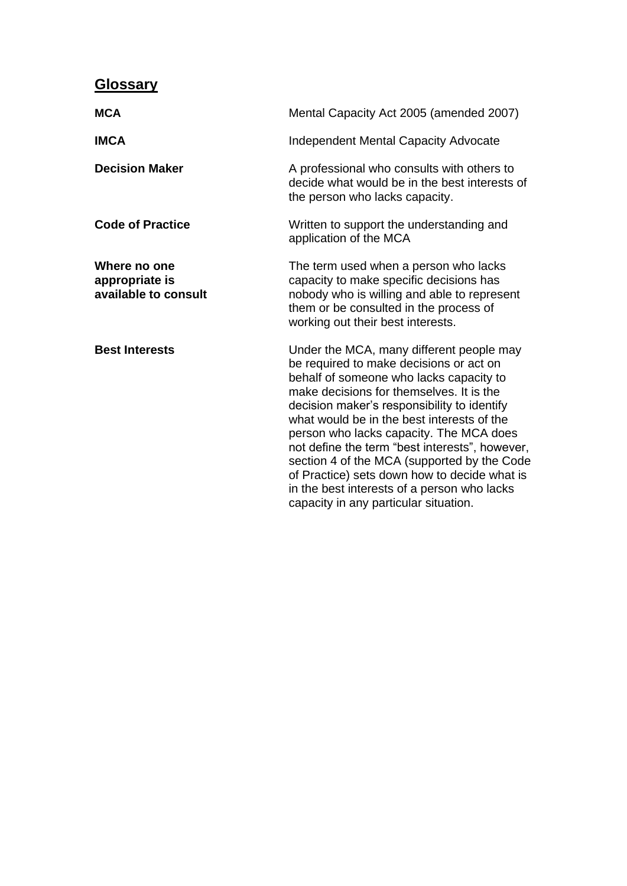# <span id="page-2-0"></span>**Glossary**

| <b>MCA</b>                                             | Mental Capacity Act 2005 (amended 2007)                                                                                                                                                                                                                                                                                                                                                                                                                                                                                                                     |  |  |
|--------------------------------------------------------|-------------------------------------------------------------------------------------------------------------------------------------------------------------------------------------------------------------------------------------------------------------------------------------------------------------------------------------------------------------------------------------------------------------------------------------------------------------------------------------------------------------------------------------------------------------|--|--|
| <b>IMCA</b>                                            | <b>Independent Mental Capacity Advocate</b>                                                                                                                                                                                                                                                                                                                                                                                                                                                                                                                 |  |  |
| <b>Decision Maker</b>                                  | A professional who consults with others to<br>decide what would be in the best interests of<br>the person who lacks capacity.                                                                                                                                                                                                                                                                                                                                                                                                                               |  |  |
| <b>Code of Practice</b>                                | Written to support the understanding and<br>application of the MCA                                                                                                                                                                                                                                                                                                                                                                                                                                                                                          |  |  |
| Where no one<br>appropriate is<br>available to consult | The term used when a person who lacks<br>capacity to make specific decisions has<br>nobody who is willing and able to represent<br>them or be consulted in the process of<br>working out their best interests.                                                                                                                                                                                                                                                                                                                                              |  |  |
| <b>Best Interests</b>                                  | Under the MCA, many different people may<br>be required to make decisions or act on<br>behalf of someone who lacks capacity to<br>make decisions for themselves. It is the<br>decision maker's responsibility to identify<br>what would be in the best interests of the<br>person who lacks capacity. The MCA does<br>not define the term "best interests", however,<br>section 4 of the MCA (supported by the Code<br>of Practice) sets down how to decide what is<br>in the best interests of a person who lacks<br>capacity in any particular situation. |  |  |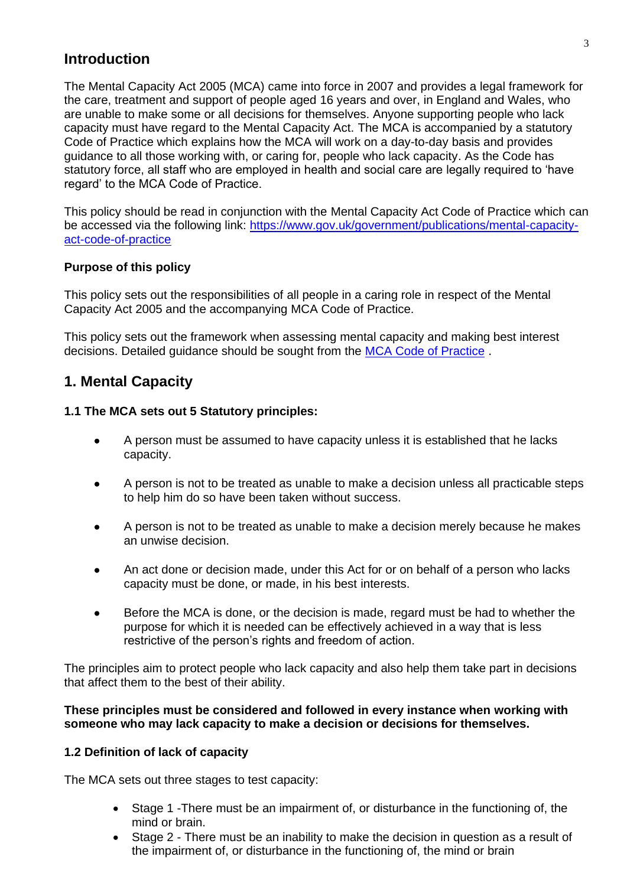### <span id="page-3-0"></span>**Introduction**

The Mental Capacity Act 2005 (MCA) came into force in 2007 and provides a legal framework for the care, treatment and support of people aged 16 years and over, in England and Wales, who are unable to make some or all decisions for themselves. Anyone supporting people who lack capacity must have regard to the Mental Capacity Act. The MCA is accompanied by a statutory Code of Practice which explains how the MCA will work on a day-to-day basis and provides guidance to all those working with, or caring for, people who lack capacity. As the Code has statutory force, all staff who are employed in health and social care are legally required to 'have regard' to the MCA Code of Practice.

This policy should be read in conjunction with the Mental Capacity Act Code of Practice which can be accessed via the following link: [https://www.gov.uk/government/publications/mental-capacity](https://www.gov.uk/government/publications/mental-capacity-act-code-of-practice)[act-code-of-practice](https://www.gov.uk/government/publications/mental-capacity-act-code-of-practice)

#### <span id="page-3-1"></span>**Purpose of this policy**

This policy sets out the responsibilities of all people in a caring role in respect of the Mental Capacity Act 2005 and the accompanying MCA Code of Practice.

This policy sets out the framework when assessing mental capacity and making best interest decisions. Detailed guidance should be sought from the [MCA Code of Practice](https://www.gov.uk/government/publications/mental-capacity-act-code-of-practice) .

### <span id="page-3-2"></span>**1. Mental Capacity**

#### <span id="page-3-3"></span>**1.1 The MCA sets out 5 Statutory principles:**

- A person must be assumed to have capacity unless it is established that he lacks capacity.
- A person is not to be treated as unable to make a decision unless all practicable steps to help him do so have been taken without success.
- A person is not to be treated as unable to make a decision merely because he makes an unwise decision.
- An act done or decision made, under this Act for or on behalf of a person who lacks capacity must be done, or made, in his best interests.
- Before the MCA is done, or the decision is made, regard must be had to whether the purpose for which it is needed can be effectively achieved in a way that is less restrictive of the person's rights and freedom of action.

The principles aim to protect people who lack capacity and also help them take part in decisions that affect them to the best of their ability.

#### **These principles must be considered and followed in every instance when working with someone who may lack capacity to make a decision or decisions for themselves.**

#### <span id="page-3-4"></span>**1.2 Definition of lack of capacity**

The MCA sets out three stages to test capacity:

- Stage 1 -There must be an impairment of, or disturbance in the functioning of, the mind or brain.
- Stage 2 There must be an inability to make the decision in question as a result of the impairment of, or disturbance in the functioning of, the mind or brain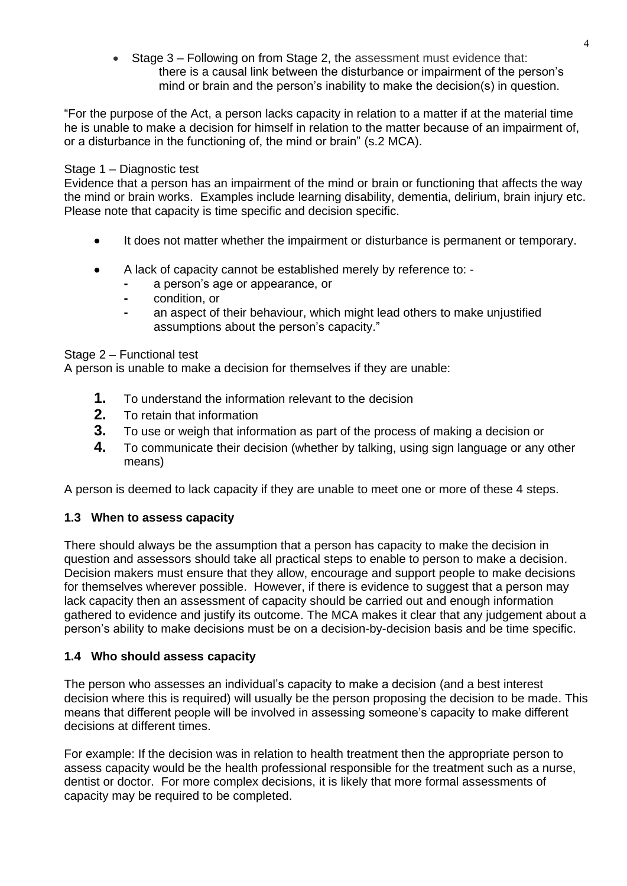• Stage 3 – Following on from Stage 2, the assessment must evidence that: there is a causal link between the disturbance or impairment of the person's mind or brain and the person's inability to make the decision(s) in question.

"For the purpose of the Act, a person lacks capacity in relation to a matter if at the material time he is unable to make a decision for himself in relation to the matter because of an impairment of, or a disturbance in the functioning of, the mind or brain" (s.2 MCA).

#### Stage 1 – Diagnostic test

Evidence that a person has an impairment of the mind or brain or functioning that affects the way the mind or brain works. Examples include learning disability, dementia, delirium, brain injury etc. Please note that capacity is time specific and decision specific.

- It does not matter whether the impairment or disturbance is permanent or temporary.
- A lack of capacity cannot be established merely by reference to:
	- **-** a person's age or appearance, or
	- **-** condition, or
	- **-** an aspect of their behaviour, which might lead others to make unjustified assumptions about the person's capacity."

Stage 2 – Functional test

A person is unable to make a decision for themselves if they are unable:

- **1.** To understand the information relevant to the decision
- **2.** To retain that information
- **3.** To use or weigh that information as part of the process of making a decision or
- **4.** To communicate their decision (whether by talking, using sign language or any other means)

A person is deemed to lack capacity if they are unable to meet one or more of these 4 steps.

#### <span id="page-4-0"></span>**1.3 When to assess capacity**

There should always be the assumption that a person has capacity to make the decision in question and assessors should take all practical steps to enable to person to make a decision. Decision makers must ensure that they allow, encourage and support people to make decisions for themselves wherever possible. However, if there is evidence to suggest that a person may lack capacity then an assessment of capacity should be carried out and enough information gathered to evidence and justify its outcome. The MCA makes it clear that any judgement about a person's ability to make decisions must be on a decision-by-decision basis and be time specific.

#### <span id="page-4-1"></span>**1.4 Who should assess capacity**

The person who assesses an individual's capacity to make a decision (and a best interest decision where this is required) will usually be the person proposing the decision to be made. This means that different people will be involved in assessing someone's capacity to make different decisions at different times.

For example: If the decision was in relation to health treatment then the appropriate person to assess capacity would be the health professional responsible for the treatment such as a nurse, dentist or doctor. For more complex decisions, it is likely that more formal assessments of capacity may be required to be completed.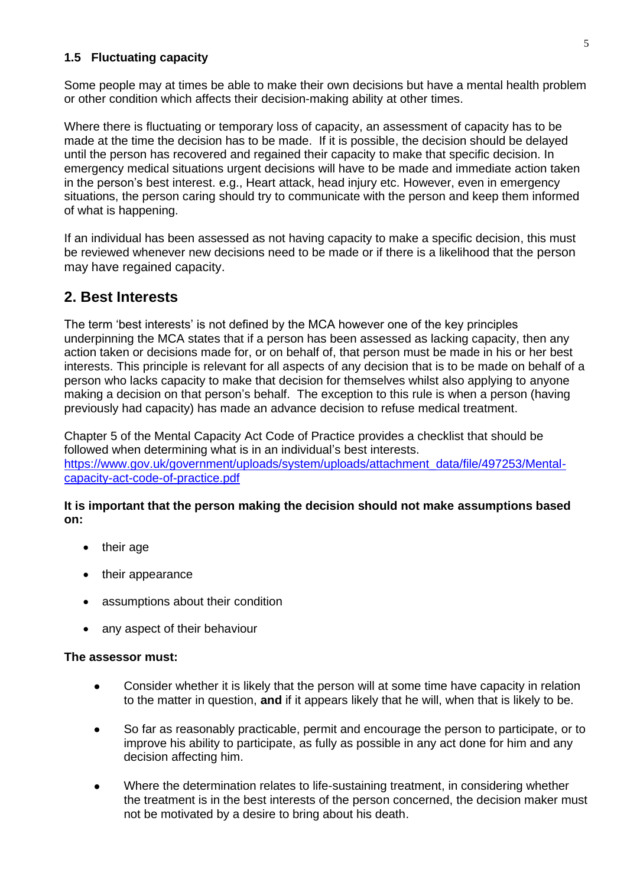#### <span id="page-5-0"></span>**1.5 Fluctuating capacity**

Some people may at times be able to make their own decisions but have a mental health problem or other condition which affects their decision-making ability at other times.

Where there is fluctuating or temporary loss of capacity, an assessment of capacity has to be made at the time the decision has to be made. If it is possible, the decision should be delayed until the person has recovered and regained their capacity to make that specific decision. In emergency medical situations urgent decisions will have to be made and immediate action taken in the person's best interest. e.g., Heart attack, head injury etc. However, even in emergency situations, the person caring should try to communicate with the person and keep them informed of what is happening.

If an individual has been assessed as not having capacity to make a specific decision, this must be reviewed whenever new decisions need to be made or if there is a likelihood that the person may have regained capacity.

### <span id="page-5-1"></span>**2. Best Interests**

The term 'best interests' is not defined by the MCA however one of the key principles underpinning the MCA states that if a person has been assessed as lacking capacity, then any action taken or decisions made for, or on behalf of, that person must be made in his or her best interests. This principle is relevant for all aspects of any decision that is to be made on behalf of a person who lacks capacity to make that decision for themselves whilst also applying to anyone making a decision on that person's behalf. The exception to this rule is when a person (having previously had capacity) has made an advance decision to refuse medical treatment.

Chapter 5 of the Mental Capacity Act Code of Practice provides a checklist that should be followed when determining what is in an individual's best interests. [https://www.gov.uk/government/uploads/system/uploads/attachment\\_data/file/497253/Mental](https://www.gov.uk/government/uploads/system/uploads/attachment_data/file/497253/Mental-capacity-act-code-of-practice.pdf)[capacity-act-code-of-practice.pdf](https://www.gov.uk/government/uploads/system/uploads/attachment_data/file/497253/Mental-capacity-act-code-of-practice.pdf)

#### **It is important that the person making the decision should not make assumptions based on:**

- their age
- their appearance
- assumptions about their condition
- any aspect of their behaviour

#### **The assessor must:**

- Consider whether it is likely that the person will at some time have capacity in relation to the matter in question, **and** if it appears likely that he will, when that is likely to be.
- So far as reasonably practicable, permit and encourage the person to participate, or to improve his ability to participate, as fully as possible in any act done for him and any decision affecting him.
- Where the determination relates to life-sustaining treatment, in considering whether the treatment is in the best interests of the person concerned, the decision maker must not be motivated by a desire to bring about his death.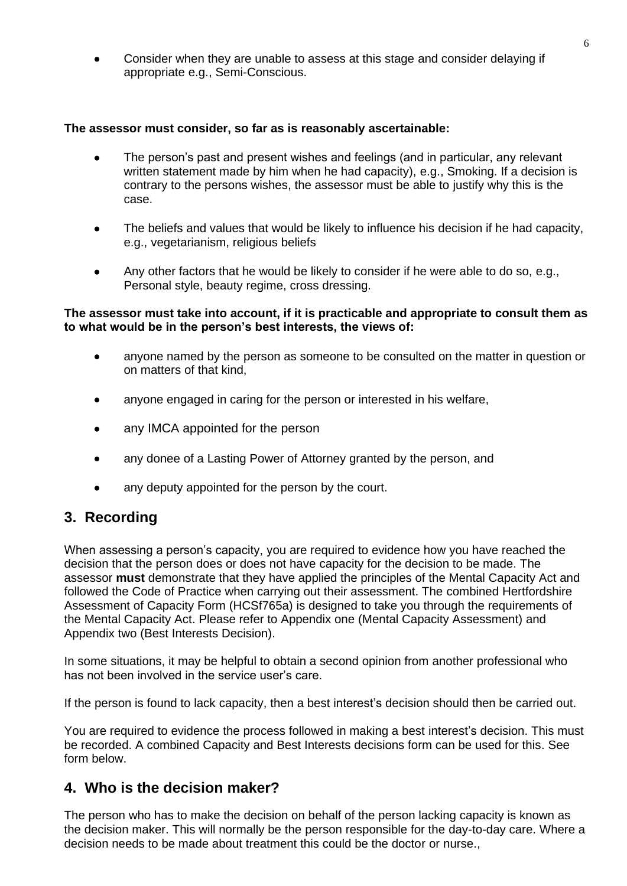• Consider when they are unable to assess at this stage and consider delaying if appropriate e.g., Semi-Conscious.

#### **The assessor must consider, so far as is reasonably ascertainable:**

- The person's past and present wishes and feelings (and in particular, any relevant written statement made by him when he had capacity), e.g., Smoking. If a decision is contrary to the persons wishes, the assessor must be able to justify why this is the case.
- The beliefs and values that would be likely to influence his decision if he had capacity, e.g., vegetarianism, religious beliefs
- Any other factors that he would be likely to consider if he were able to do so, e.g., Personal style, beauty regime, cross dressing.

#### **The assessor must take into account, if it is practicable and appropriate to consult them as to what would be in the person's best interests, the views of:**

- anyone named by the person as someone to be consulted on the matter in question or on matters of that kind,
- anyone engaged in caring for the person or interested in his welfare,
- any IMCA appointed for the person
- any donee of a Lasting Power of Attorney granted by the person, and
- any deputy appointed for the person by the court.

# <span id="page-6-0"></span>**3. Recording**

When assessing a person's capacity, you are required to evidence how you have reached the decision that the person does or does not have capacity for the decision to be made. The assessor **must** demonstrate that they have applied the principles of the Mental Capacity Act and followed the Code of Practice when carrying out their assessment. The combined Hertfordshire Assessment of Capacity Form (HCSf765a) is designed to take you through the requirements of the Mental Capacity Act. Please refer to Appendix one (Mental Capacity Assessment) and Appendix two (Best Interests Decision).

In some situations, it may be helpful to obtain a second opinion from another professional who has not been involved in the service user's care.

If the person is found to lack capacity, then a best interest's decision should then be carried out.

You are required to evidence the process followed in making a best interest's decision. This must be recorded. A combined Capacity and Best Interests decisions form can be used for this. See form below.

#### <span id="page-6-1"></span>**4. Who is the decision maker?**

The person who has to make the decision on behalf of the person lacking capacity is known as the decision maker. This will normally be the person responsible for the day-to-day care. Where a decision needs to be made about treatment this could be the doctor or nurse.,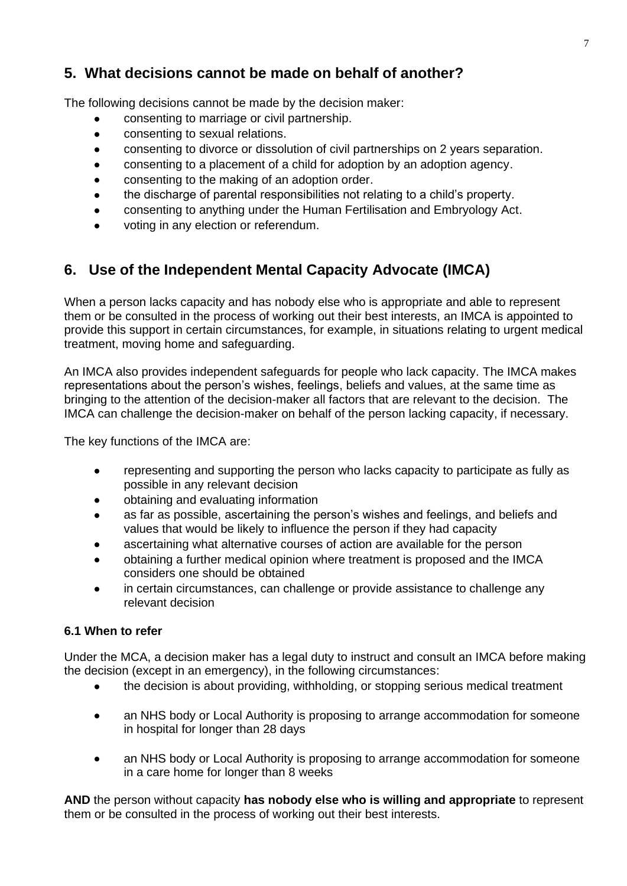# <span id="page-7-0"></span>**5. What decisions cannot be made on behalf of another?**

The following decisions cannot be made by the decision maker:

- consenting to marriage or civil partnership.
- consenting to sexual relations.
- consenting to divorce or dissolution of civil partnerships on 2 years separation.
- consenting to a placement of a child for adoption by an adoption agency.
- consenting to the making of an adoption order.
- the discharge of parental responsibilities not relating to a child's property.
- consenting to anything under the Human Fertilisation and Embryology Act.
- voting in any election or referendum.

# <span id="page-7-1"></span>**6. Use of the Independent Mental Capacity Advocate (IMCA)**

When a person lacks capacity and has nobody else who is appropriate and able to represent them or be consulted in the process of working out their best interests, an IMCA is appointed to provide this support in certain circumstances, for example, in situations relating to urgent medical treatment, moving home and safeguarding.

An IMCA also provides independent safeguards for people who lack capacity. The IMCA makes representations about the person's wishes, feelings, beliefs and values, at the same time as bringing to the attention of the decision-maker all factors that are relevant to the decision. The IMCA can challenge the decision-maker on behalf of the person lacking capacity, if necessary.

The key functions of the IMCA are:

- representing and supporting the person who lacks capacity to participate as fully as possible in any relevant decision
- obtaining and evaluating information
- as far as possible, ascertaining the person's wishes and feelings, and beliefs and values that would be likely to influence the person if they had capacity
- ascertaining what alternative courses of action are available for the person
- obtaining a further medical opinion where treatment is proposed and the IMCA considers one should be obtained
- in certain circumstances, can challenge or provide assistance to challenge any relevant decision

#### <span id="page-7-2"></span>**6.1 When to refer**

Under the MCA, a decision maker has a legal duty to instruct and consult an IMCA before making the decision (except in an emergency), in the following circumstances:

- the decision is about providing, withholding, or stopping serious medical treatment
- an NHS body or Local Authority is proposing to arrange accommodation for someone in hospital for longer than 28 days
- an NHS body or Local Authority is proposing to arrange accommodation for someone in a care home for longer than 8 weeks

**AND** the person without capacity **has nobody else who is willing and appropriate** to represent them or be consulted in the process of working out their best interests.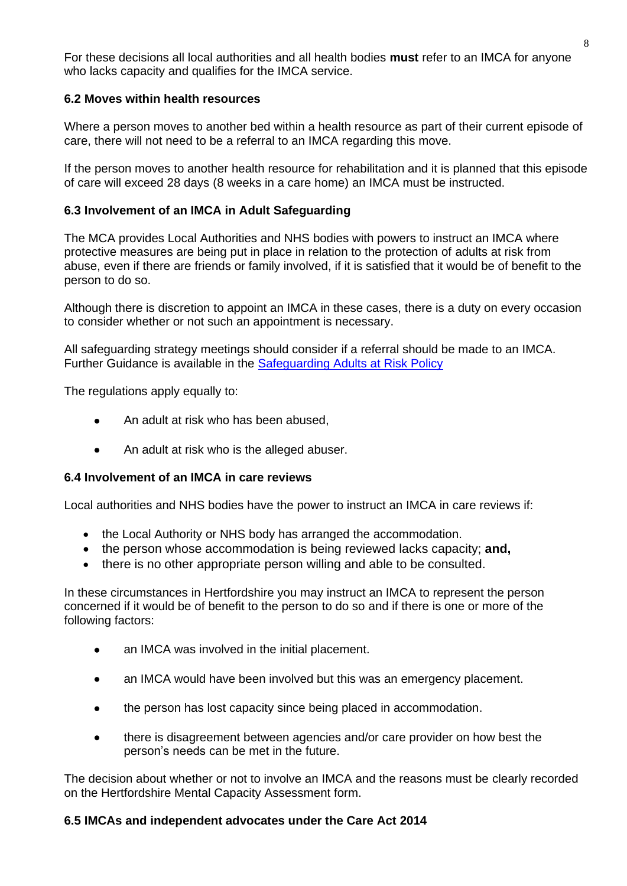For these decisions all local authorities and all health bodies **must** refer to an IMCA for anyone who lacks capacity and qualifies for the IMCA service.

#### <span id="page-8-0"></span>**6.2 Moves within health resources**

Where a person moves to another bed within a health resource as part of their current episode of care, there will not need to be a referral to an IMCA regarding this move.

If the person moves to another health resource for rehabilitation and it is planned that this episode of care will exceed 28 days (8 weeks in a care home) an IMCA must be instructed.

#### <span id="page-8-1"></span>**6.3 Involvement of an IMCA in Adult Safeguarding**

The MCA provides Local Authorities and NHS bodies with powers to instruct an IMCA where protective measures are being put in place in relation to the protection of adults at risk from abuse, even if there are friends or family involved, if it is satisfied that it would be of benefit to the person to do so.

Although there is discretion to appoint an IMCA in these cases, there is a duty on every occasion to consider whether or not such an appointment is necessary.

All safeguarding strategy meetings should consider if a referral should be made to an IMCA. Further Guidance is available in the [Safeguarding Adults at Risk Policy](https://beta.hertfordshire.gov.uk/services/adult-social-services/report-a-concern-about-an-adult/hertfordshire-safeguarding-adults-board/safeguarding-adults-from-abuse-–-information-for-professionals.aspx)

The regulations apply equally to:

- An adult at risk who has been abused,
- An adult at risk who is the alleged abuser.

#### <span id="page-8-2"></span>**6.4 Involvement of an IMCA in care reviews**

Local authorities and NHS bodies have the power to instruct an IMCA in care reviews if:

- the Local Authority or NHS body has arranged the accommodation.
- the person whose accommodation is being reviewed lacks capacity; **and,**
- there is no other appropriate person willing and able to be consulted.

In these circumstances in Hertfordshire you may instruct an IMCA to represent the person concerned if it would be of benefit to the person to do so and if there is one or more of the following factors:

- an IMCA was involved in the initial placement.
- an IMCA would have been involved but this was an emergency placement.
- the person has lost capacity since being placed in accommodation.
- there is disagreement between agencies and/or care provider on how best the person's needs can be met in the future.

The decision about whether or not to involve an IMCA and the reasons must be clearly recorded on the Hertfordshire Mental Capacity Assessment form.

#### <span id="page-8-3"></span>**6.5 IMCAs and independent advocates under the Care Act 2014**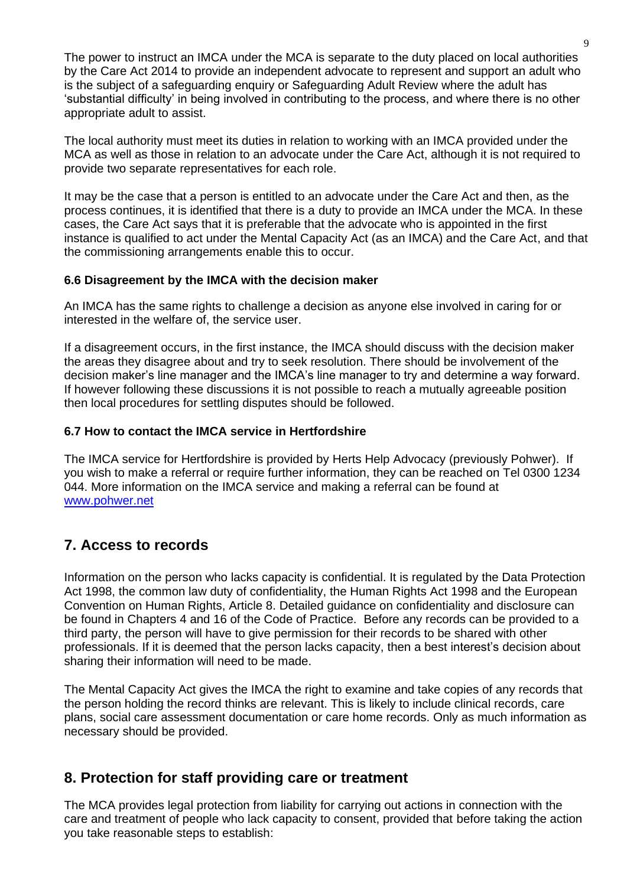The power to instruct an IMCA under the MCA is separate to the duty placed on local authorities by the Care Act 2014 to provide an independent advocate to represent and support an adult who is the subject of a safeguarding enquiry or Safeguarding Adult Review where the adult has 'substantial difficulty' in being involved in contributing to the process, and where there is no other appropriate adult to assist.

The local authority must meet its duties in relation to working with an IMCA provided under the MCA as well as those in relation to an advocate under the Care Act, although it is not required to provide two separate representatives for each role.

It may be the case that a person is entitled to an advocate under the Care Act and then, as the process continues, it is identified that there is a duty to provide an IMCA under the MCA. In these cases, the Care Act says that it is preferable that the advocate who is appointed in the first instance is qualified to act under the Mental Capacity Act (as an IMCA) and the Care Act, and that the commissioning arrangements enable this to occur.

#### <span id="page-9-0"></span>**6.6 Disagreement by the IMCA with the decision maker**

An IMCA has the same rights to challenge a decision as anyone else involved in caring for or interested in the welfare of, the service user.

If a disagreement occurs, in the first instance, the IMCA should discuss with the decision maker the areas they disagree about and try to seek resolution. There should be involvement of the decision maker's line manager and the IMCA's line manager to try and determine a way forward. If however following these discussions it is not possible to reach a mutually agreeable position then local procedures for settling disputes should be followed.

#### <span id="page-9-1"></span>**6.7 How to contact the IMCA service in Hertfordshire**

The IMCA service for Hertfordshire is provided by Herts Help Advocacy (previously Pohwer). If you wish to make a referral or require further information, they can be reached on Tel 0300 1234 044. More information on the IMCA service and making a referral can be found at [www.pohwer.net](http://www.pohwer.net/)

# <span id="page-9-2"></span>**7. Access to records**

Information on the person who lacks capacity is confidential. It is regulated by the Data Protection Act 1998, the common law duty of confidentiality, the Human Rights Act 1998 and the European Convention on Human Rights, Article 8. Detailed guidance on confidentiality and disclosure can be found in Chapters 4 and 16 of the Code of Practice. Before any records can be provided to a third party, the person will have to give permission for their records to be shared with other professionals. If it is deemed that the person lacks capacity, then a best interest's decision about sharing their information will need to be made.

The Mental Capacity Act gives the IMCA the right to examine and take copies of any records that the person holding the record thinks are relevant. This is likely to include clinical records, care plans, social care assessment documentation or care home records. Only as much information as necessary should be provided.

### <span id="page-9-3"></span>**8. Protection for staff providing care or treatment**

The MCA provides legal protection from liability for carrying out actions in connection with the care and treatment of people who lack capacity to consent, provided that before taking the action you take reasonable steps to establish: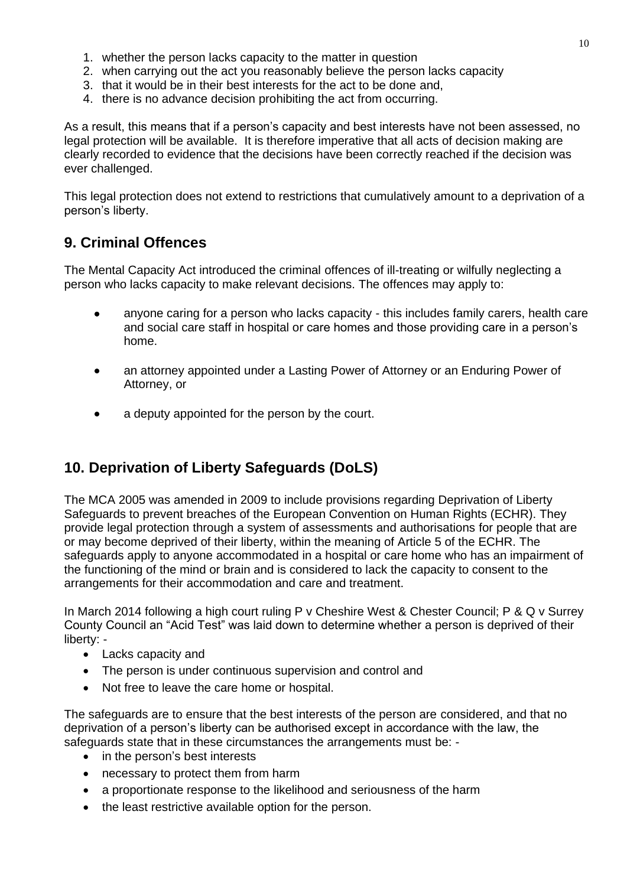- 1. whether the person lacks capacity to the matter in question
- 2. when carrying out the act you reasonably believe the person lacks capacity
- 3. that it would be in their best interests for the act to be done and,
- 4. there is no advance decision prohibiting the act from occurring.

As a result, this means that if a person's capacity and best interests have not been assessed, no legal protection will be available. It is therefore imperative that all acts of decision making are clearly recorded to evidence that the decisions have been correctly reached if the decision was ever challenged.

This legal protection does not extend to restrictions that cumulatively amount to a deprivation of a person's liberty.

# <span id="page-10-0"></span>**9. Criminal Offences**

The Mental Capacity Act introduced the criminal offences of ill-treating or wilfully neglecting a person who lacks capacity to make relevant decisions. The offences may apply to:

- anyone caring for a person who lacks capacity this includes family carers, health care and social care staff in hospital or care homes and those providing care in a person's home.
- an attorney appointed under a Lasting Power of Attorney or an Enduring Power of Attorney, or
- a deputy appointed for the person by the court.

# **10. Deprivation of Liberty Safeguards (DoLS)**

The MCA 2005 was amended in 2009 to include provisions regarding Deprivation of Liberty Safeguards to prevent breaches of the European Convention on Human Rights (ECHR). They provide legal protection through a system of assessments and authorisations for people that are or may become deprived of their liberty, within the meaning of Article 5 of the ECHR. The safeguards apply to anyone accommodated in a hospital or care home who has an impairment of the functioning of the mind or brain and is considered to lack the capacity to consent to the arrangements for their accommodation and care and treatment.

In March 2014 following a high court ruling P v Cheshire West & Chester Council; P & Q v Surrey County Council an "Acid Test" was laid down to determine whether a person is deprived of their liberty: -

- Lacks capacity and
- The person is under continuous supervision and control and
- Not free to leave the care home or hospital.

The safeguards are to ensure that the best interests of the person are considered, and that no deprivation of a person's liberty can be authorised except in accordance with the law, the safeguards state that in these circumstances the arrangements must be: -

- in the person's best interests
- necessary to protect them from harm
- a proportionate response to the likelihood and seriousness of the harm
- the least restrictive available option for the person.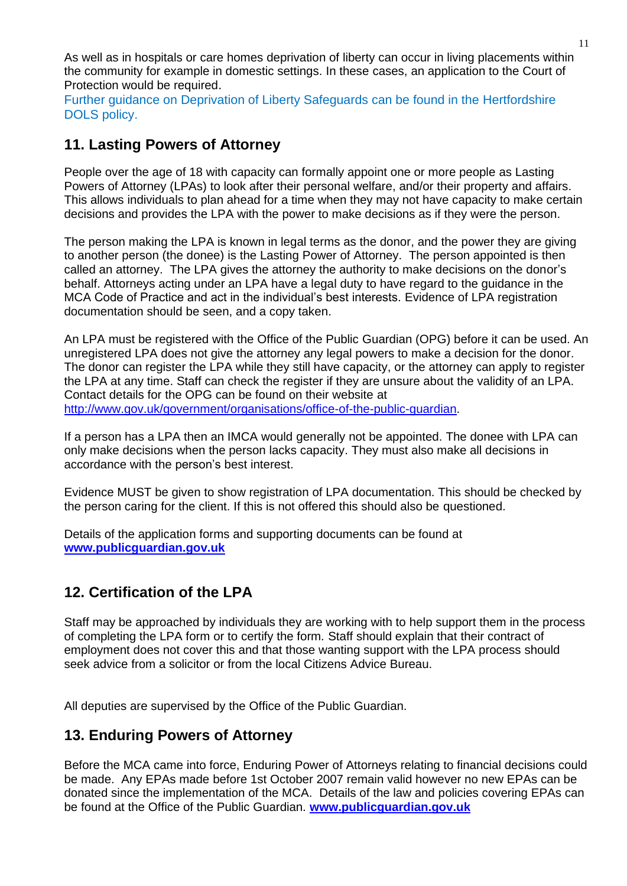As well as in hospitals or care homes deprivation of liberty can occur in living placements within the community for example in domestic settings. In these cases, an application to the Court of Protection would be required.

Further guidance on Deprivation of Liberty Safeguards can be found in the Hertfordshire DOLS policy.

# <span id="page-11-0"></span>**11. Lasting Powers of Attorney**

People over the age of 18 with capacity can formally appoint one or more people as Lasting Powers of Attorney (LPAs) to look after their personal welfare, and/or their property and affairs. This allows individuals to plan ahead for a time when they may not have capacity to make certain decisions and provides the LPA with the power to make decisions as if they were the person.

The person making the LPA is known in legal terms as the donor, and the power they are giving to another person (the donee) is the Lasting Power of Attorney. The person appointed is then called an attorney. The LPA gives the attorney the authority to make decisions on the donor's behalf. Attorneys acting under an LPA have a legal duty to have regard to the guidance in the MCA Code of Practice and act in the individual's best interests. Evidence of LPA registration documentation should be seen, and a copy taken.

An LPA must be registered with the Office of the Public Guardian (OPG) before it can be used. An unregistered LPA does not give the attorney any legal powers to make a decision for the donor. The donor can register the LPA while they still have capacity, or the attorney can apply to register the LPA at any time. Staff can check the register if they are unsure about the validity of an LPA. Contact details for the OPG can be found on their website at [http://www.gov.uk/government/organisations/office-of-the-public-guardian.](http://www.gov.uk/government/organisations/office-of-the-public-guardian)

If a person has a LPA then an IMCA would generally not be appointed. The donee with LPA can only make decisions when the person lacks capacity. They must also make all decisions in accordance with the person's best interest.

Evidence MUST be given to show registration of LPA documentation. This should be checked by the person caring for the client. If this is not offered this should also be questioned.

Details of the application forms and supporting documents can be found at **[www.publicguardian.gov.uk](http://www.publicguardian.gov.uk/)**

# <span id="page-11-1"></span>**12. Certification of the LPA**

Staff may be approached by individuals they are working with to help support them in the process of completing the LPA form or to certify the form. Staff should explain that their contract of employment does not cover this and that those wanting support with the LPA process should seek advice from a solicitor or from the local Citizens Advice Bureau.

All deputies are supervised by the Office of the Public Guardian.

### <span id="page-11-2"></span>**13. Enduring Powers of Attorney**

Before the MCA came into force, Enduring Power of Attorneys relating to financial decisions could be made. Any EPAs made before 1st October 2007 remain valid however no new EPAs can be donated since the implementation of the MCA. Details of the law and policies covering EPAs can be found at the Office of the Public Guardian. **[www.publicguardian.gov.uk](http://www.publicguardian.gov.uk/)**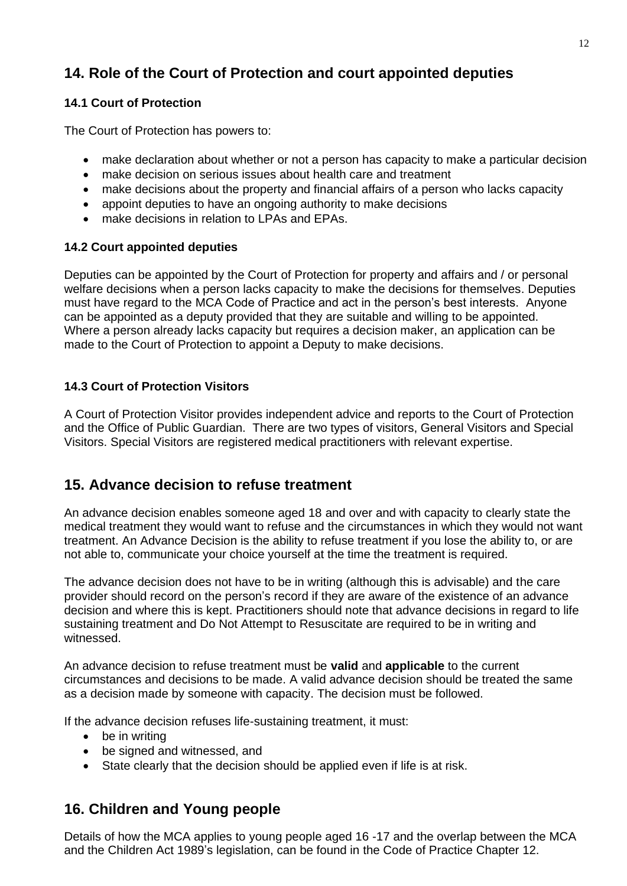# <span id="page-12-0"></span>**14. Role of the Court of Protection and court appointed deputies**

#### <span id="page-12-1"></span>**14.1 Court of Protection**

The Court of Protection has powers to:

- make declaration about whether or not a person has capacity to make a particular decision
- make decision on serious issues about health care and treatment
- make decisions about the property and financial affairs of a person who lacks capacity
- appoint deputies to have an ongoing authority to make decisions
- make decisions in relation to LPAs and EPAs.

#### <span id="page-12-2"></span>**14.2 Court appointed deputies**

Deputies can be appointed by the Court of Protection for property and affairs and / or personal welfare decisions when a person lacks capacity to make the decisions for themselves. Deputies must have regard to the MCA Code of Practice and act in the person's best interests. Anyone can be appointed as a deputy provided that they are suitable and willing to be appointed. Where a person already lacks capacity but requires a decision maker, an application can be made to the Court of Protection to appoint a Deputy to make decisions.

### <span id="page-12-3"></span>**14.3 Court of Protection Visitors**

A Court of Protection Visitor provides independent advice and reports to the Court of Protection and the Office of Public Guardian. There are two types of visitors, General Visitors and Special Visitors. Special Visitors are registered medical practitioners with relevant expertise.

# <span id="page-12-4"></span>**15. Advance decision to refuse treatment**

An advance decision enables someone aged 18 and over and with capacity to clearly state the medical treatment they would want to refuse and the circumstances in which they would not want treatment. An Advance Decision is the ability to refuse treatment if you lose the ability to, or are not able to, communicate your choice yourself at the time the treatment is required.

The advance decision does not have to be in writing (although this is advisable) and the care provider should record on the person's record if they are aware of the existence of an advance decision and where this is kept. Practitioners should note that advance decisions in regard to life sustaining treatment and Do Not Attempt to Resuscitate are required to be in writing and witnessed.

An advance decision to refuse treatment must be **valid** and **applicable** to the current circumstances and decisions to be made. A valid advance decision should be treated the same as a decision made by someone with capacity. The decision must be followed.

If the advance decision refuses life-sustaining treatment, it must:

- be in writing
- be signed and witnessed, and
- State clearly that the decision should be applied even if life is at risk.

# <span id="page-12-5"></span>**16. Children and Young people**

Details of how the MCA applies to young people aged 16 -17 and the overlap between the MCA and the Children Act 1989's legislation, can be found in the Code of Practice Chapter 12.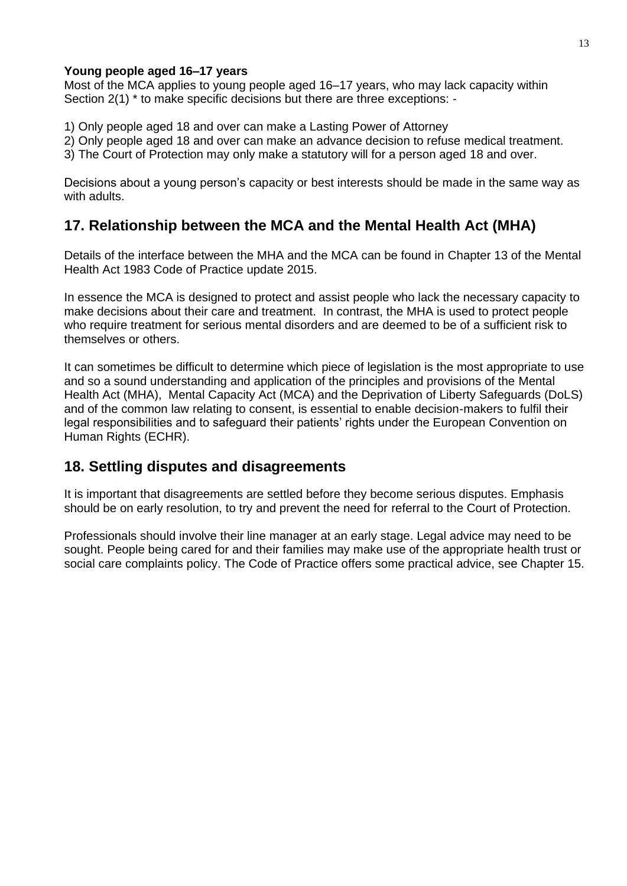#### **Young people aged 16–17 years**

Most of the MCA applies to young people aged 16–17 years, who may lack capacity within Section 2(1) \* to make specific decisions but there are three exceptions: -

- 1) Only people aged 18 and over can make a Lasting Power of Attorney
- 2) Only people aged 18 and over can make an advance decision to refuse medical treatment.
- 3) The Court of Protection may only make a statutory will for a person aged 18 and over.

Decisions about a young person's capacity or best interests should be made in the same way as with adults.

# <span id="page-13-0"></span>**17. Relationship between the MCA and the Mental Health Act (MHA)**

Details of the interface between the MHA and the MCA can be found in Chapter 13 of the Mental Health Act 1983 Code of Practice update 2015.

In essence the MCA is designed to protect and assist people who lack the necessary capacity to make decisions about their care and treatment. In contrast, the MHA is used to protect people who require treatment for serious mental disorders and are deemed to be of a sufficient risk to themselves or others.

It can sometimes be difficult to determine which piece of legislation is the most appropriate to use and so a sound understanding and application of the principles and provisions of the Mental Health Act (MHA), Mental Capacity Act (MCA) and the Deprivation of Liberty Safeguards (DoLS) and of the common law relating to consent, is essential to enable decision-makers to fulfil their legal responsibilities and to safeguard their patients' rights under the European Convention on Human Rights (ECHR).

### <span id="page-13-1"></span>**18. Settling disputes and disagreements**

It is important that disagreements are settled before they become serious disputes. Emphasis should be on early resolution, to try and prevent the need for referral to the Court of Protection.

Professionals should involve their line manager at an early stage. Legal advice may need to be sought. People being cared for and their families may make use of the appropriate health trust or social care complaints policy. The Code of Practice offers some practical advice, see Chapter 15.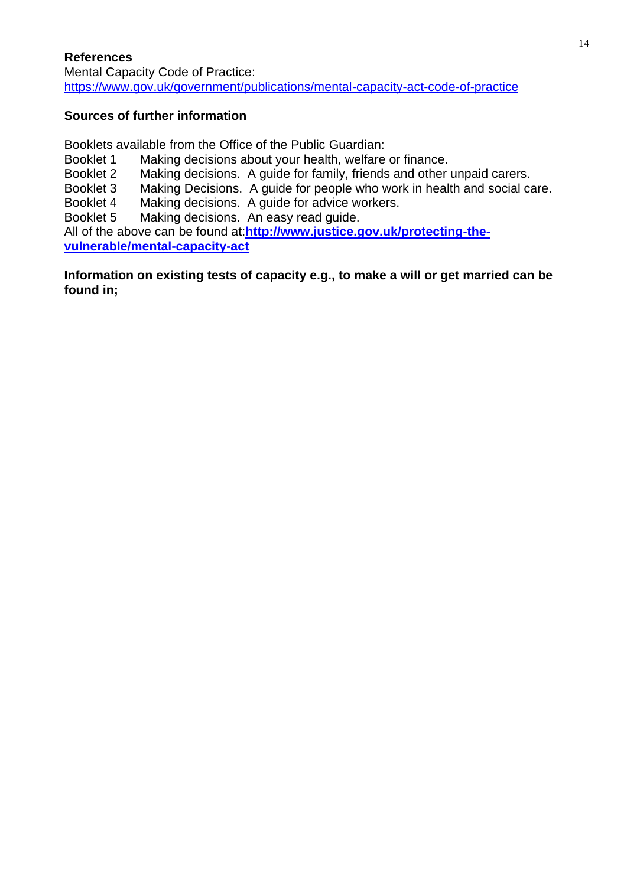#### <span id="page-14-0"></span>**References**

Mental Capacity Code of Practice: <https://www.gov.uk/government/publications/mental-capacity-act-code-of-practice>

#### **Sources of further information**

Booklets available from the Office of the Public Guardian:<br>Booklet 1 Making decisions about your health, welfare Making decisions about your health, welfare or finance. Booklet 2 Making decisions. A guide for family, friends and other unpaid carers. Booklet 3 Making Decisions. A guide for people who work in health and social care.<br>Booklet 4 Making decisions. A guide for advice workers. Making decisions. A guide for advice workers. Booklet 5 Making decisions. An easy read guide. All of the above can be found at:**[http://www.justice.gov.uk/protecting-the](http://www.justice.gov.uk/protecting-the-vulnerable/mental-capacity-act)[vulnerable/mental-capacity-act](http://www.justice.gov.uk/protecting-the-vulnerable/mental-capacity-act)**

#### <span id="page-14-1"></span>**Information on existing tests of capacity e.g., to make a will or get married can be found in;**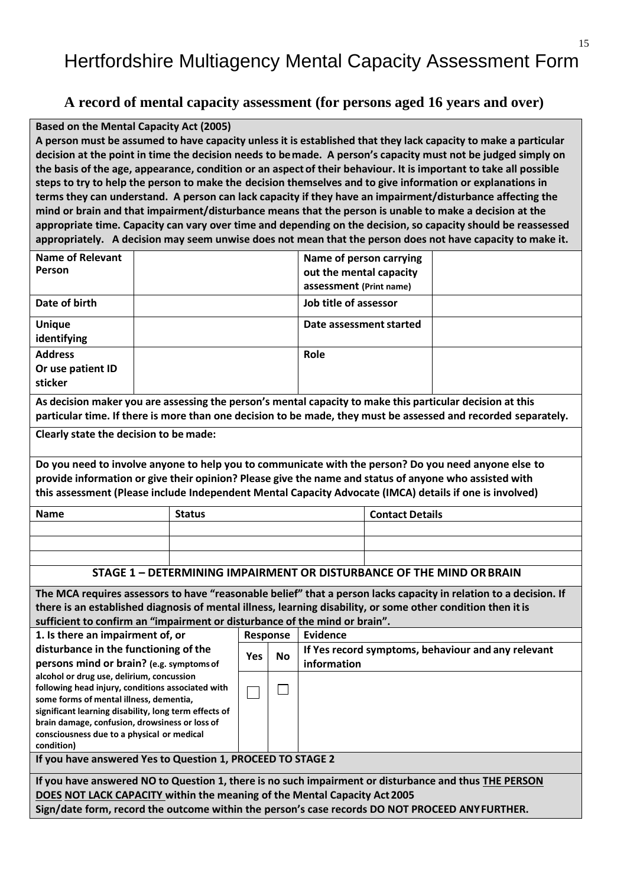# Hertfordshire Multiagency Mental Capacity Assessment Form

#### **A record of mental capacity assessment (for persons aged 16 years and over)**

#### **Based on the Mental Capacity Act (2005)**

A person must be assumed to have capacity unless it is established that they lack capacity to make a particular **decision at the point in time the decision needs to bemade. A person's capacity must not be judged simply on the basis of the age, appearance, condition or an aspect of their behaviour. It is important to take all possible steps to try to help the person to make the decision themselves and to give information or explanations in terms they can understand. A person can lack capacity if they have an impairment/disturbance affecting the mind or brain and that impairment/disturbance means that the person is unable to make a decision at the appropriate time. Capacity can vary over time and depending on the decision, so capacity should be reassessed appropriately. A decision may seem unwise does not mean that the person does not have capacity to make it.**

| <b>Name of Relevant</b>                                                                                           |                                                                                                         |                             | Name of person carrying |                         |                                                    |
|-------------------------------------------------------------------------------------------------------------------|---------------------------------------------------------------------------------------------------------|-----------------------------|-------------------------|-------------------------|----------------------------------------------------|
| Person                                                                                                            |                                                                                                         |                             |                         | out the mental capacity |                                                    |
|                                                                                                                   |                                                                                                         |                             | assessment (Print name) |                         |                                                    |
| Date of birth                                                                                                     |                                                                                                         |                             | Job title of assessor   |                         |                                                    |
| <b>Unique</b>                                                                                                     |                                                                                                         |                             | Date assessment started |                         |                                                    |
| identifying                                                                                                       |                                                                                                         |                             |                         |                         |                                                    |
| <b>Address</b>                                                                                                    |                                                                                                         |                             | Role                    |                         |                                                    |
|                                                                                                                   |                                                                                                         |                             |                         |                         |                                                    |
| Or use patient ID<br>sticker                                                                                      |                                                                                                         |                             |                         |                         |                                                    |
|                                                                                                                   |                                                                                                         |                             |                         |                         |                                                    |
| As decision maker you are assessing the person's mental capacity to make this particular decision at this         |                                                                                                         |                             |                         |                         |                                                    |
| particular time. If there is more than one decision to be made, they must be assessed and recorded separately.    |                                                                                                         |                             |                         |                         |                                                    |
| Clearly state the decision to be made:                                                                            |                                                                                                         |                             |                         |                         |                                                    |
|                                                                                                                   |                                                                                                         |                             |                         |                         |                                                    |
| Do you need to involve anyone to help you to communicate with the person? Do you need anyone else to              |                                                                                                         |                             |                         |                         |                                                    |
| provide information or give their opinion? Please give the name and status of anyone who assisted with            |                                                                                                         |                             |                         |                         |                                                    |
|                                                                                                                   |                                                                                                         |                             |                         |                         |                                                    |
|                                                                                                                   | this assessment (Please include Independent Mental Capacity Advocate (IMCA) details if one is involved) |                             |                         |                         |                                                    |
| <b>Name</b>                                                                                                       | <b>Status</b>                                                                                           |                             |                         | <b>Contact Details</b>  |                                                    |
|                                                                                                                   |                                                                                                         |                             |                         |                         |                                                    |
|                                                                                                                   |                                                                                                         |                             |                         |                         |                                                    |
|                                                                                                                   |                                                                                                         |                             |                         |                         |                                                    |
| STAGE 1 - DETERMINING IMPAIRMENT OR DISTURBANCE OF THE MIND OR BRAIN                                              |                                                                                                         |                             |                         |                         |                                                    |
| The MCA requires assessors to have "reasonable belief" that a person lacks capacity in relation to a decision. If |                                                                                                         |                             |                         |                         |                                                    |
| there is an established diagnosis of mental illness, learning disability, or some other condition then it is      |                                                                                                         |                             |                         |                         |                                                    |
| sufficient to confirm an "impairment or disturbance of the mind or brain".                                        |                                                                                                         |                             |                         |                         |                                                    |
| 1. Is there an impairment of, or                                                                                  |                                                                                                         | <b>Response</b>             | <b>Evidence</b>         |                         |                                                    |
| disturbance in the functioning of the                                                                             | <b>Yes</b>                                                                                              | <b>No</b>                   |                         |                         | If Yes record symptoms, behaviour and any relevant |
| persons mind or brain? (e.g. symptoms of                                                                          |                                                                                                         |                             | information             |                         |                                                    |
| alcohol or drug use, delirium, concussion                                                                         |                                                                                                         |                             |                         |                         |                                                    |
| following head injury, conditions associated with                                                                 |                                                                                                         | $\mathcal{L}_{\mathcal{A}}$ |                         |                         |                                                    |
| some forms of mental illness, dementia,<br>significant learning disability, long term effects of                  |                                                                                                         |                             |                         |                         |                                                    |
| brain damage, confusion, drowsiness or loss of                                                                    |                                                                                                         |                             |                         |                         |                                                    |
| consciousness due to a physical or medical                                                                        |                                                                                                         |                             |                         |                         |                                                    |
| condition)                                                                                                        |                                                                                                         |                             |                         |                         |                                                    |
| If you have answered Yes to Question 1, PROCEED TO STAGE 2                                                        |                                                                                                         |                             |                         |                         |                                                    |
| If you have answered NO to Question 1, there is no such impairment or disturbance and thus THE PERSON             |                                                                                                         |                             |                         |                         |                                                    |
| DOES NOT LACK CAPACITY within the meaning of the Mental Capacity Act 2005                                         |                                                                                                         |                             |                         |                         |                                                    |
| Sign/date form, record the outcome within the person's case records DO NOT PROCEED ANYFURTHER.                    |                                                                                                         |                             |                         |                         |                                                    |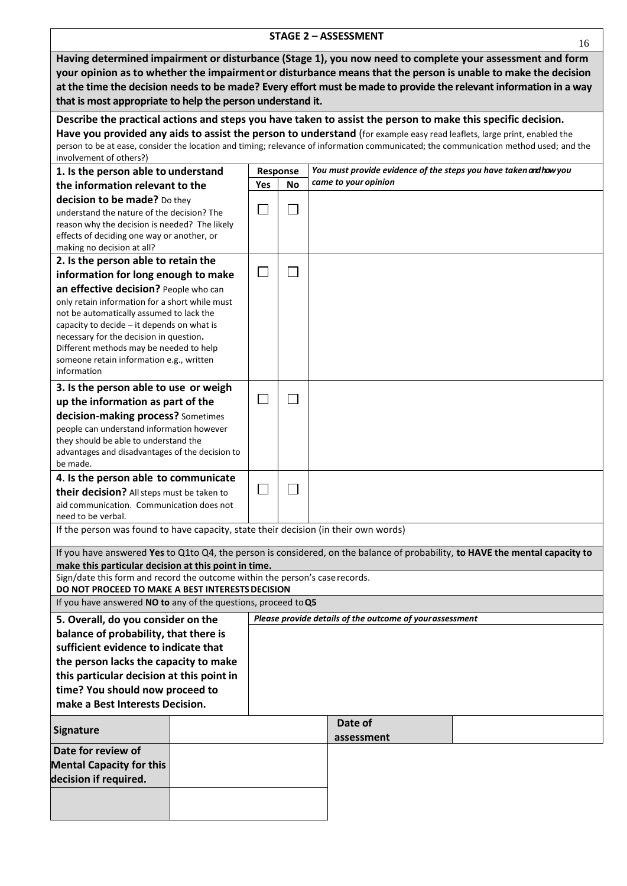| <b>STAGE 2 - ASSESSMENT</b><br>16                                                                                                     |     |           |  |                                                                   |  |
|---------------------------------------------------------------------------------------------------------------------------------------|-----|-----------|--|-------------------------------------------------------------------|--|
| Having determined impairment or disturbance (Stage 1), you now need to complete your assessment and form                              |     |           |  |                                                                   |  |
| your opinion as to whether the impairment or disturbance means that the person is unable to make the decision                         |     |           |  |                                                                   |  |
| at the time the decision needs to be made? Every effort must be made to provide the relevant information in a way                     |     |           |  |                                                                   |  |
| that is most appropriate to help the person understand it.                                                                            |     |           |  |                                                                   |  |
| Describe the practical actions and steps you have taken to assist the person to make this specific decision.                          |     |           |  |                                                                   |  |
| Have you provided any aids to assist the person to understand (for example easy read leaflets, large print, enabled the               |     |           |  |                                                                   |  |
| person to be at ease, consider the location and timing; relevance of information communicated; the communication method used; and the |     |           |  |                                                                   |  |
| involvement of others?)<br>1. Is the person able to understand                                                                        |     | Response  |  | You must provide evidence of the steps you have taken and how you |  |
| the information relevant to the                                                                                                       | Yes | <b>No</b> |  | came to your opinion                                              |  |
| decision to be made? Do they                                                                                                          |     |           |  |                                                                   |  |
| understand the nature of the decision? The                                                                                            |     |           |  |                                                                   |  |
| reason why the decision is needed? The likely                                                                                         |     |           |  |                                                                   |  |
| effects of deciding one way or another, or<br>making no decision at all?                                                              |     |           |  |                                                                   |  |
| 2. Is the person able to retain the                                                                                                   |     |           |  |                                                                   |  |
| information for long enough to make                                                                                                   |     |           |  |                                                                   |  |
| an effective decision? People who can                                                                                                 |     |           |  |                                                                   |  |
| only retain information for a short while must                                                                                        |     |           |  |                                                                   |  |
| not be automatically assumed to lack the                                                                                              |     |           |  |                                                                   |  |
| capacity to decide - it depends on what is<br>necessary for the decision in question.                                                 |     |           |  |                                                                   |  |
| Different methods may be needed to help                                                                                               |     |           |  |                                                                   |  |
| someone retain information e.g., written                                                                                              |     |           |  |                                                                   |  |
| information                                                                                                                           |     |           |  |                                                                   |  |
| 3. Is the person able to use or weigh                                                                                                 |     |           |  |                                                                   |  |
| up the information as part of the                                                                                                     |     |           |  |                                                                   |  |
| decision-making process? Sometimes<br>people can understand information however                                                       |     |           |  |                                                                   |  |
| they should be able to understand the                                                                                                 |     |           |  |                                                                   |  |
| advantages and disadvantages of the decision to                                                                                       |     |           |  |                                                                   |  |
| be made.                                                                                                                              |     |           |  |                                                                   |  |
| 4. Is the person able to communicate<br>their decision? All steps must be taken to                                                    |     |           |  |                                                                   |  |
| aid communication. Communication does not                                                                                             |     |           |  |                                                                   |  |
| need to be verbal.                                                                                                                    |     |           |  |                                                                   |  |
| If the person was found to have capacity, state their decision (in their own words)                                                   |     |           |  |                                                                   |  |
| If you have answered Yes to Q1to Q4, the person is considered, on the balance of probability, to HAVE the mental capacity to          |     |           |  |                                                                   |  |
| make this particular decision at this point in time.                                                                                  |     |           |  |                                                                   |  |
| Sign/date this form and record the outcome within the person's case records.                                                          |     |           |  |                                                                   |  |
| DO NOT PROCEED TO MAKE A BEST INTERESTS DECISION                                                                                      |     |           |  |                                                                   |  |
| If you have answered NO to any of the questions, proceed to Q5<br>Please provide details of the outcome of your assessment            |     |           |  |                                                                   |  |
| 5. Overall, do you consider on the<br>balance of probability, that there is                                                           |     |           |  |                                                                   |  |
| sufficient evidence to indicate that                                                                                                  |     |           |  |                                                                   |  |
| the person lacks the capacity to make                                                                                                 |     |           |  |                                                                   |  |
| this particular decision at this point in                                                                                             |     |           |  |                                                                   |  |
| time? You should now proceed to                                                                                                       |     |           |  |                                                                   |  |
| make a Best Interests Decision.                                                                                                       |     |           |  |                                                                   |  |
| <b>Signature</b>                                                                                                                      |     |           |  | Date of<br>assessment                                             |  |
| Date for review of                                                                                                                    |     |           |  |                                                                   |  |
| <b>Mental Capacity for this</b>                                                                                                       |     |           |  |                                                                   |  |
| decision if required.                                                                                                                 |     |           |  |                                                                   |  |
|                                                                                                                                       |     |           |  |                                                                   |  |
|                                                                                                                                       |     |           |  |                                                                   |  |
|                                                                                                                                       |     |           |  |                                                                   |  |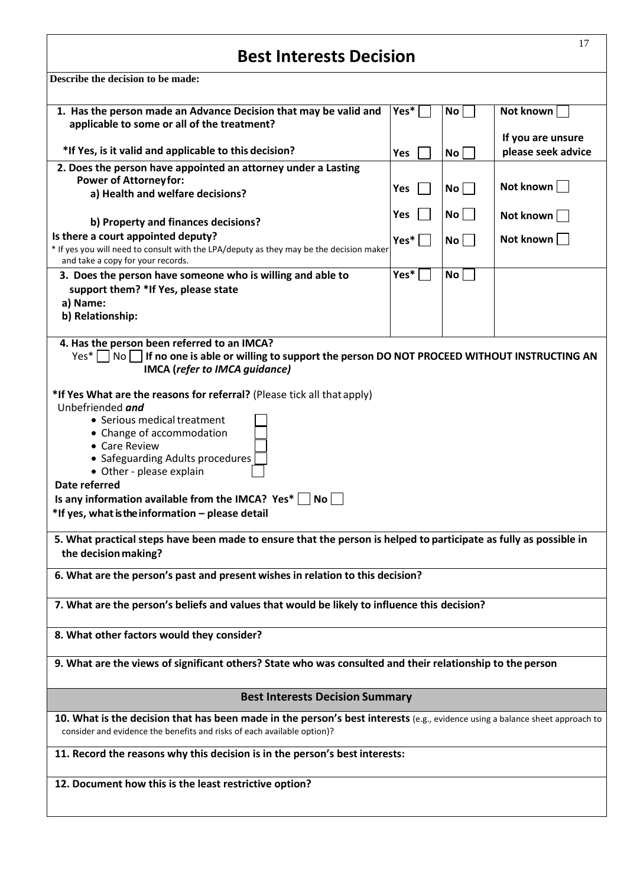# **Best Interests Decision**

**Describe the decision to be made:**

| 1. Has the person made an Advance Decision that may be valid and<br>Yes*<br>No <sub>1</sub><br>Not known<br>applicable to some or all of the treatment?<br>If you are unsure<br>*If Yes, is it valid and applicable to this decision?<br>please seek advice<br><b>No</b><br><b>Yes</b><br>2. Does the person have appointed an attorney under a Lasting<br><b>Power of Attorneyfor:</b><br>Not known<br>No<br>Yes<br>a) Health and welfare decisions?<br>No <sub>1</sub><br><b>Yes</b><br>Not known<br>b) Property and finances decisions?<br>Is there a court appointed deputy?<br>Not known<br>Yes*<br>No <sub>1</sub><br>* If yes you will need to consult with the LPA/deputy as they may be the decision maker<br>and take a copy for your records.<br>Yes*<br>No <sub>1</sub><br>3. Does the person have someone who is willing and able to<br>support them? *If Yes, please state<br>a) Name:<br>b) Relationship:<br>4. Has the person been referred to an IMCA?<br>$Yes*    No $<br>If no one is able or willing to support the person DO NOT PROCEED WITHOUT INSTRUCTING AN<br><b>IMCA</b> (refer to IMCA guidance)<br>*If Yes What are the reasons for referral? (Please tick all that apply)<br>Unbefriended and<br>• Serious medical treatment<br>• Change of accommodation<br>• Care Review<br>• Safeguarding Adults procedures<br>• Other - please explain<br>Date referred<br>Is any information available from the IMCA? Yes* $\vert$ No $\vert$<br>*If yes, what is the information - please detail<br>5. What practical steps have been made to ensure that the person is helped to participate as fully as possible in<br>the decision making?<br>6. What are the person's past and present wishes in relation to this decision?<br>7. What are the person's beliefs and values that would be likely to influence this decision?<br>8. What other factors would they consider?<br>9. What are the views of significant others? State who was consulted and their relationship to the person<br><b>Best Interests Decision Summary</b><br>10. What is the decision that has been made in the person's best interests (e.g., evidence using a balance sheet approach to<br>consider and evidence the benefits and risks of each available option)?<br>11. Record the reasons why this decision is in the person's best interests:<br>12. Document how this is the least restrictive option? | Describe the decision to be made: |  |  |  |  |  |
|--------------------------------------------------------------------------------------------------------------------------------------------------------------------------------------------------------------------------------------------------------------------------------------------------------------------------------------------------------------------------------------------------------------------------------------------------------------------------------------------------------------------------------------------------------------------------------------------------------------------------------------------------------------------------------------------------------------------------------------------------------------------------------------------------------------------------------------------------------------------------------------------------------------------------------------------------------------------------------------------------------------------------------------------------------------------------------------------------------------------------------------------------------------------------------------------------------------------------------------------------------------------------------------------------------------------------------------------------------------------------------------------------------------------------------------------------------------------------------------------------------------------------------------------------------------------------------------------------------------------------------------------------------------------------------------------------------------------------------------------------------------------------------------------------------------------------------------------------------------------------------------------------------------------------------------------------------------------------------------------------------------------------------------------------------------------------------------------------------------------------------------------------------------------------------------------------------------------------------------------------------------------------------------------------------------------------------------------------------------------------------------------------------------|-----------------------------------|--|--|--|--|--|
|                                                                                                                                                                                                                                                                                                                                                                                                                                                                                                                                                                                                                                                                                                                                                                                                                                                                                                                                                                                                                                                                                                                                                                                                                                                                                                                                                                                                                                                                                                                                                                                                                                                                                                                                                                                                                                                                                                                                                                                                                                                                                                                                                                                                                                                                                                                                                                                                              |                                   |  |  |  |  |  |
|                                                                                                                                                                                                                                                                                                                                                                                                                                                                                                                                                                                                                                                                                                                                                                                                                                                                                                                                                                                                                                                                                                                                                                                                                                                                                                                                                                                                                                                                                                                                                                                                                                                                                                                                                                                                                                                                                                                                                                                                                                                                                                                                                                                                                                                                                                                                                                                                              |                                   |  |  |  |  |  |
|                                                                                                                                                                                                                                                                                                                                                                                                                                                                                                                                                                                                                                                                                                                                                                                                                                                                                                                                                                                                                                                                                                                                                                                                                                                                                                                                                                                                                                                                                                                                                                                                                                                                                                                                                                                                                                                                                                                                                                                                                                                                                                                                                                                                                                                                                                                                                                                                              |                                   |  |  |  |  |  |
|                                                                                                                                                                                                                                                                                                                                                                                                                                                                                                                                                                                                                                                                                                                                                                                                                                                                                                                                                                                                                                                                                                                                                                                                                                                                                                                                                                                                                                                                                                                                                                                                                                                                                                                                                                                                                                                                                                                                                                                                                                                                                                                                                                                                                                                                                                                                                                                                              |                                   |  |  |  |  |  |
|                                                                                                                                                                                                                                                                                                                                                                                                                                                                                                                                                                                                                                                                                                                                                                                                                                                                                                                                                                                                                                                                                                                                                                                                                                                                                                                                                                                                                                                                                                                                                                                                                                                                                                                                                                                                                                                                                                                                                                                                                                                                                                                                                                                                                                                                                                                                                                                                              |                                   |  |  |  |  |  |
|                                                                                                                                                                                                                                                                                                                                                                                                                                                                                                                                                                                                                                                                                                                                                                                                                                                                                                                                                                                                                                                                                                                                                                                                                                                                                                                                                                                                                                                                                                                                                                                                                                                                                                                                                                                                                                                                                                                                                                                                                                                                                                                                                                                                                                                                                                                                                                                                              |                                   |  |  |  |  |  |
|                                                                                                                                                                                                                                                                                                                                                                                                                                                                                                                                                                                                                                                                                                                                                                                                                                                                                                                                                                                                                                                                                                                                                                                                                                                                                                                                                                                                                                                                                                                                                                                                                                                                                                                                                                                                                                                                                                                                                                                                                                                                                                                                                                                                                                                                                                                                                                                                              |                                   |  |  |  |  |  |
|                                                                                                                                                                                                                                                                                                                                                                                                                                                                                                                                                                                                                                                                                                                                                                                                                                                                                                                                                                                                                                                                                                                                                                                                                                                                                                                                                                                                                                                                                                                                                                                                                                                                                                                                                                                                                                                                                                                                                                                                                                                                                                                                                                                                                                                                                                                                                                                                              |                                   |  |  |  |  |  |
|                                                                                                                                                                                                                                                                                                                                                                                                                                                                                                                                                                                                                                                                                                                                                                                                                                                                                                                                                                                                                                                                                                                                                                                                                                                                                                                                                                                                                                                                                                                                                                                                                                                                                                                                                                                                                                                                                                                                                                                                                                                                                                                                                                                                                                                                                                                                                                                                              |                                   |  |  |  |  |  |
|                                                                                                                                                                                                                                                                                                                                                                                                                                                                                                                                                                                                                                                                                                                                                                                                                                                                                                                                                                                                                                                                                                                                                                                                                                                                                                                                                                                                                                                                                                                                                                                                                                                                                                                                                                                                                                                                                                                                                                                                                                                                                                                                                                                                                                                                                                                                                                                                              |                                   |  |  |  |  |  |
|                                                                                                                                                                                                                                                                                                                                                                                                                                                                                                                                                                                                                                                                                                                                                                                                                                                                                                                                                                                                                                                                                                                                                                                                                                                                                                                                                                                                                                                                                                                                                                                                                                                                                                                                                                                                                                                                                                                                                                                                                                                                                                                                                                                                                                                                                                                                                                                                              |                                   |  |  |  |  |  |
|                                                                                                                                                                                                                                                                                                                                                                                                                                                                                                                                                                                                                                                                                                                                                                                                                                                                                                                                                                                                                                                                                                                                                                                                                                                                                                                                                                                                                                                                                                                                                                                                                                                                                                                                                                                                                                                                                                                                                                                                                                                                                                                                                                                                                                                                                                                                                                                                              |                                   |  |  |  |  |  |
|                                                                                                                                                                                                                                                                                                                                                                                                                                                                                                                                                                                                                                                                                                                                                                                                                                                                                                                                                                                                                                                                                                                                                                                                                                                                                                                                                                                                                                                                                                                                                                                                                                                                                                                                                                                                                                                                                                                                                                                                                                                                                                                                                                                                                                                                                                                                                                                                              |                                   |  |  |  |  |  |
|                                                                                                                                                                                                                                                                                                                                                                                                                                                                                                                                                                                                                                                                                                                                                                                                                                                                                                                                                                                                                                                                                                                                                                                                                                                                                                                                                                                                                                                                                                                                                                                                                                                                                                                                                                                                                                                                                                                                                                                                                                                                                                                                                                                                                                                                                                                                                                                                              |                                   |  |  |  |  |  |
|                                                                                                                                                                                                                                                                                                                                                                                                                                                                                                                                                                                                                                                                                                                                                                                                                                                                                                                                                                                                                                                                                                                                                                                                                                                                                                                                                                                                                                                                                                                                                                                                                                                                                                                                                                                                                                                                                                                                                                                                                                                                                                                                                                                                                                                                                                                                                                                                              |                                   |  |  |  |  |  |
|                                                                                                                                                                                                                                                                                                                                                                                                                                                                                                                                                                                                                                                                                                                                                                                                                                                                                                                                                                                                                                                                                                                                                                                                                                                                                                                                                                                                                                                                                                                                                                                                                                                                                                                                                                                                                                                                                                                                                                                                                                                                                                                                                                                                                                                                                                                                                                                                              |                                   |  |  |  |  |  |
|                                                                                                                                                                                                                                                                                                                                                                                                                                                                                                                                                                                                                                                                                                                                                                                                                                                                                                                                                                                                                                                                                                                                                                                                                                                                                                                                                                                                                                                                                                                                                                                                                                                                                                                                                                                                                                                                                                                                                                                                                                                                                                                                                                                                                                                                                                                                                                                                              |                                   |  |  |  |  |  |
|                                                                                                                                                                                                                                                                                                                                                                                                                                                                                                                                                                                                                                                                                                                                                                                                                                                                                                                                                                                                                                                                                                                                                                                                                                                                                                                                                                                                                                                                                                                                                                                                                                                                                                                                                                                                                                                                                                                                                                                                                                                                                                                                                                                                                                                                                                                                                                                                              |                                   |  |  |  |  |  |
|                                                                                                                                                                                                                                                                                                                                                                                                                                                                                                                                                                                                                                                                                                                                                                                                                                                                                                                                                                                                                                                                                                                                                                                                                                                                                                                                                                                                                                                                                                                                                                                                                                                                                                                                                                                                                                                                                                                                                                                                                                                                                                                                                                                                                                                                                                                                                                                                              |                                   |  |  |  |  |  |
|                                                                                                                                                                                                                                                                                                                                                                                                                                                                                                                                                                                                                                                                                                                                                                                                                                                                                                                                                                                                                                                                                                                                                                                                                                                                                                                                                                                                                                                                                                                                                                                                                                                                                                                                                                                                                                                                                                                                                                                                                                                                                                                                                                                                                                                                                                                                                                                                              |                                   |  |  |  |  |  |
|                                                                                                                                                                                                                                                                                                                                                                                                                                                                                                                                                                                                                                                                                                                                                                                                                                                                                                                                                                                                                                                                                                                                                                                                                                                                                                                                                                                                                                                                                                                                                                                                                                                                                                                                                                                                                                                                                                                                                                                                                                                                                                                                                                                                                                                                                                                                                                                                              |                                   |  |  |  |  |  |

17